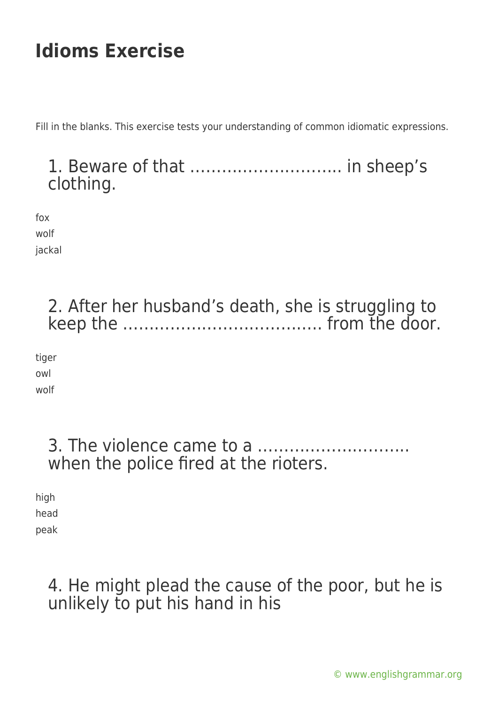Fill in the blanks. This exercise tests your understanding of common idiomatic expressions.

### 1. Beware of that ……………………….. in sheep's clothing.

fox wolf

jackal

# 2. After her husband's death, she is struggling to keep the ……………………………….. from the door.

tiger owl wolf

#### 3. The violence came to a ……………………….. when the police fired at the rioters.

high head peak

# 4. He might plead the cause of the poor, but he is unlikely to put his hand in his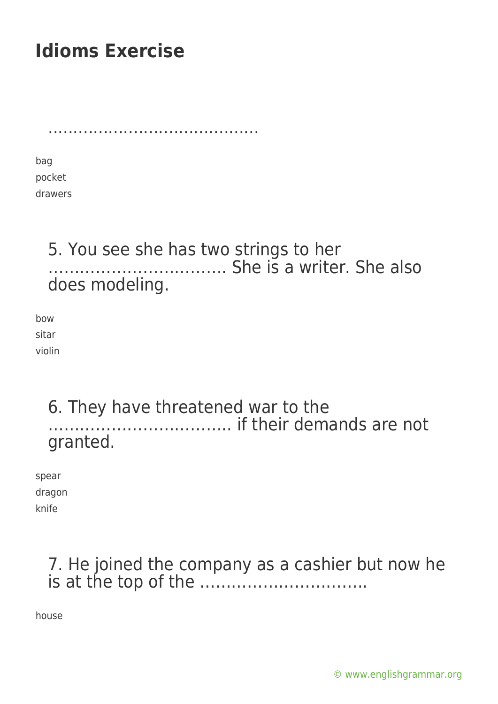..........................................

bag pocket drawers

#### 5. You see she has two strings to her ……………………………. She is a writer. She also does modeling.

bow sitar violin

#### 6. They have threatened war to the …………………………….. if their demands are not granted.

spear dragon knife

## 7. He joined the company as a cashier but now he is at the top of the …………………………..

house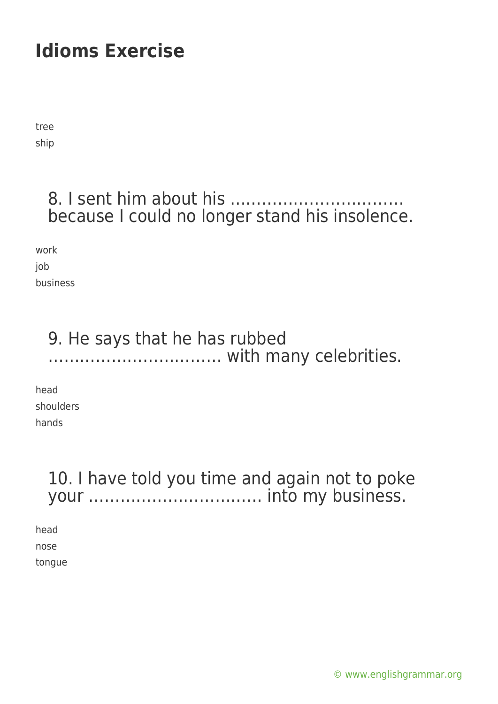tree ship

## 8. I sent him about his ………… because I could no longer stand his insolence.

work job business

## 9. He says that he has rubbed …………………………… with many celebrities.

head shoulders hands

# 10. I have told you time and again not to poke your …………………………… into my business.

head nose tongue

[© www.englishgrammar.org](https://www.englishgrammar.org/)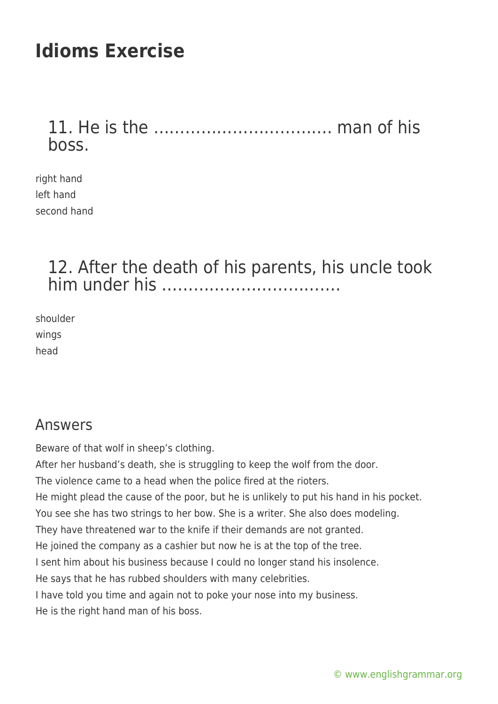## 11. He is the ……………………………. man of his boss.

right hand left hand second hand

#### 12. After the death of his parents, his uncle took him under his …………………………….

shoulder wings head

#### Answers

Beware of that wolf in sheep's clothing.

After her husband's death, she is struggling to keep the wolf from the door. The violence came to a head when the police fired at the rioters. He might plead the cause of the poor, but he is unlikely to put his hand in his pocket. You see she has two strings to her bow. She is a writer. She also does modeling. They have threatened war to the knife if their demands are not granted. He joined the company as a cashier but now he is at the top of the tree. I sent him about his business because I could no longer stand his insolence. He says that he has rubbed shoulders with many celebrities.

I have told you time and again not to poke your nose into my business.

He is the right hand man of his boss.